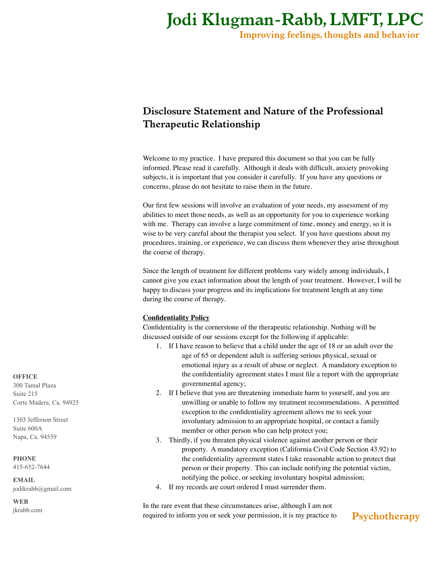*Improving feelings, thoughts and behavior*

## *Disclosure Statement and Nature of the Professional Therapeutic Relationship*

Welcome to my practice. I have prepared this document so that you can be fully informed. Please read it carefully. Although it deals with difficult, anxiety provoking subjects, it is important that you consider it carefully. If you have any questions or concerns, please do not hesitate to raise them in the future.

Our first few sessions will involve an evaluation of your needs, my assessment of my abilities to meet those needs, as well as an opportunity for you to experience working with me. Therapy can involve a large commitment of time, money and energy, so it is wise to be very careful about the therapist you select. If you have questions about my procedures, training, or experience, we can discuss them whenever they arise throughout the course of therapy.

Since the length of treatment for different problems vary widely among individuals, I cannot give you exact information about the length of your treatment. However, I will be happy to discuss your progress and its implications for treatment length at any time during the course of therapy.

### **Confidentiality Policy**

Confidentiality is the cornerstone of the therapeutic relationship. Nothing will be discussed outside of our sessions except for the following if applicable:

- 1. If I have reason to believe that a child under the age of 18 or an adult over the age of 65 or dependent adult is suffering serious physical, sexual or emotional injury as a result of abuse or neglect. A mandatory exception to the confidentiality agreement states I must file a report with the appropriate governmental agency;
- 2. If I believe that you are threatening immediate harm to yourself, and you are unwilling or unable to follow my treatment recommendations. A permitted exception to the confidentiality agreement allows me to seek your involuntary admission to an appropriate hospital, or contact a family member or other person who can help protect you;
- 3. Thirdly, if you threaten physical violence against another person or their property. A mandatory exception (California Civil Code Section 43.92) to the confidentiality agreement states I take reasonable action to protect that person or their property. This can include notifying the potential victim, notifying the police, or seeking involuntary hospital admission;
- 4. If my records are court ordered I must surrender them.

In the rare event that these circumstances arise, although I am not required to inform you or seek your permission, it is my practice to

## *Psychotherapy*

**OFFICE** 300 Tamal Plaza Suite 215 Corte Madera, Ca. 94925

1303 Jefferson Street Suite 600A Napa, Ca. 94559

#### **PHONE**

415-652-7644

**EMAIL** jodikrabb@gmail.com

**WEB** [jkrabb.com](http://jkrabb.com)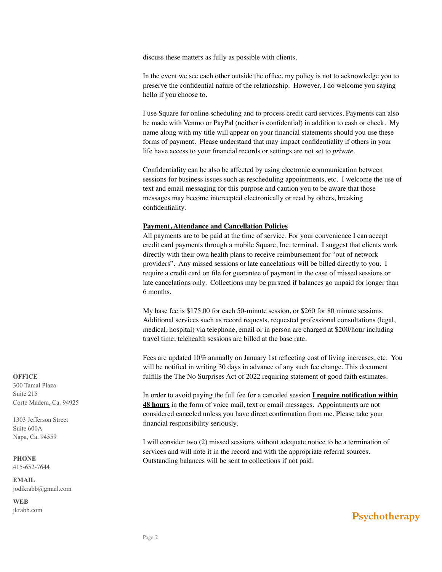discuss these matters as fully as possible with clients.

In the event we see each other outside the office, my policy is not to acknowledge you to preserve the confidential nature of the relationship. However, I do welcome you saying hello if you choose to.

I use Square for online scheduling and to process credit card services. Payments can also be made with Venmo or PayPal (neither is confidential) in addition to cash or check. My name along with my title will appear on your financial statements should you use these forms of payment. Please understand that may impact confidentiality if others in your life have access to your financial records or settings are not set to *private*.

Confidentiality can be also be affected by using electronic communication between sessions for business issues such as rescheduling appointments, etc. I welcome the use of text and email messaging for this purpose and caution you to be aware that those messages may become intercepted electronically or read by others, breaking confidentiality.

#### **Payment, Attendance and Cancellation Policies**

All payments are to be paid at the time of service. For your convenience I can accept credit card payments through a mobile Square, Inc. terminal. I suggest that clients work directly with their own health plans to receive reimbursement for "out of network providers". Any missed sessions or late cancelations will be billed directly to you. I require a credit card on file for guarantee of payment in the case of missed sessions or late cancelations only. Collections may be pursued if balances go unpaid for longer than 6 months.

My base fee is \$175.00 for each 50-minute session, or \$260 for 80 minute sessions. Additional services such as record requests, requested professional consultations (legal, medical, hospital) via telephone, email or in person are charged at \$200/hour including travel time; telehealth sessions are billed at the base rate.

Fees are updated 10% annually on January 1st reflecting cost of living increases, etc. You will be notified in writing 30 days in advance of any such fee change. This document fulfills the The No Surprises Act of 2022 requiring statement of good faith estimates.

In order to avoid paying the full fee for a canceled session **I require notification within 48 hours** in the form of voice mail, text or email messages. Appointments are not considered canceled unless you have direct confirmation from me. Please take your financial responsibility seriously.

I will consider two (2) missed sessions without adequate notice to be a termination of services and will note it in the record and with the appropriate referral sources. Outstanding balances will be sent to collections if not paid.

#### **OFFICE**

300 Tamal Plaza Suite 215 Corte Madera, Ca. 94925

1303 Jefferson Street Suite 600A Napa, Ca. 94559

## **PHONE**

415-652-7644

**EMAIL** jodikrabb@gmail.com

**WEB**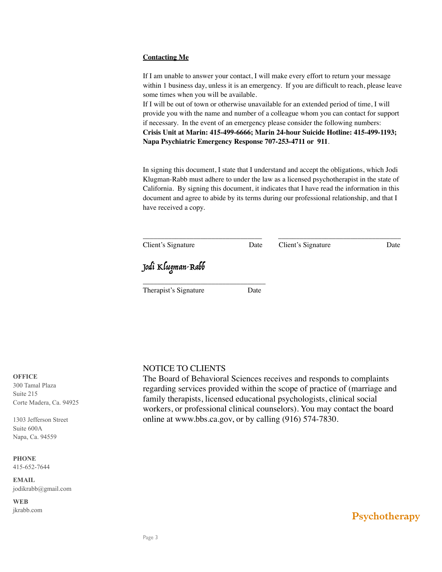#### **Contacting Me**

If I am unable to answer your contact, I will make every effort to return your message within 1 business day, unless it is an emergency. If you are difficult to reach, please leave some times when you will be available.

If I will be out of town or otherwise unavailable for an extended period of time, I will provide you with the name and number of a colleague whom you can contact for support if necessary. In the event of an emergency please consider the following numbers: **Crisis Unit at Marin: 415-499-6666; Marin 24-hour Suicide Hotline: 415-499-1193; Napa Psychiatric Emergency Response 707-253-4711 or 911**.

In signing this document, I state that I understand and accept the obligations, which Jodi Klugman-Rabb must adhere to under the law as a licensed psychotherapist in the state of California. By signing this document, it indicates that I have read the information in this document and agree to abide by its terms during our professional relationship, and that I have received a copy.

| Client's Signature    | Date | Client's Signature | Date |
|-----------------------|------|--------------------|------|
| Jodi Klugman-Rabb     |      |                    |      |
| Therapist's Signature | Date |                    |      |

### NOTICE TO CLIENTS

The Board of Behavioral Sciences receives and responds to complaints regarding services provided within the scope of practice of (marriage and family therapists, licensed educational psychologists, clinical social workers, or professional clinical counselors). You may contact the board online at www.bbs.ca.gov, or by calling (916) 574-7830.

**OFFICE** 300 Tamal Plaza

Suite 215 Corte Madera, Ca. 94925

1303 Jefferson Street Suite 600A Napa, Ca. 94559

#### **PHONE**

415-652-7644

**EMAIL** jodikrabb@gmail.com

**WEB**

[jkrabb.com](http://jkrabb.com) *Psychotherapy*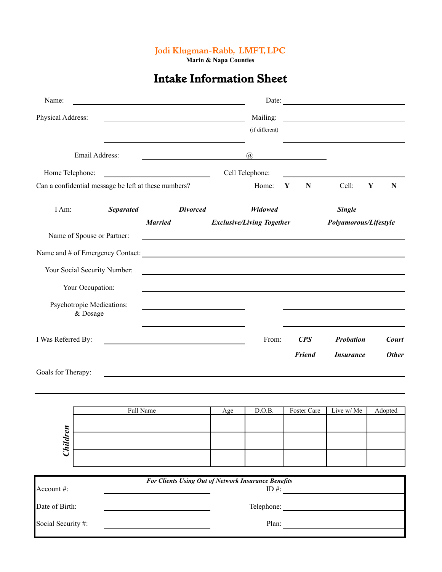**Marin & Napa Counties**

# *Intake Information Sheet*

| Name:              |                                       |                  | the control of the control of the control of the control of the control of the control of                                                                                                                                            |     |                                  |                            | Date: $\frac{1}{\sqrt{1-\frac{1}{2}} \cdot \frac{1}{2} \cdot \frac{1}{2} \cdot \frac{1}{2} \cdot \frac{1}{2} \cdot \frac{1}{2} \cdot \frac{1}{2} \cdot \frac{1}{2} \cdot \frac{1}{2} \cdot \frac{1}{2} \cdot \frac{1}{2} \cdot \frac{1}{2} \cdot \frac{1}{2} \cdot \frac{1}{2} \cdot \frac{1}{2} \cdot \frac{1}{2} \cdot \frac{1}{2} \cdot \frac{1}{2} \cdot \frac{1}{2} \cdot \frac{1}{2} \cdot \frac{1}{2} \cdot \frac{1}{2} \cdot \frac{1}{2}$ |                              |
|--------------------|---------------------------------------|------------------|--------------------------------------------------------------------------------------------------------------------------------------------------------------------------------------------------------------------------------------|-----|----------------------------------|----------------------------|---------------------------------------------------------------------------------------------------------------------------------------------------------------------------------------------------------------------------------------------------------------------------------------------------------------------------------------------------------------------------------------------------------------------------------------------------|------------------------------|
| Physical Address:  |                                       |                  | the control of the control of the control of the control of the control of the control of                                                                                                                                            |     | Mailing:                         |                            | <u> 1989 - Andrea Aonaichte, ann an t-Èireann an t-Èireann an t-Èireann an t-Èireann an t-Èireann an t-Èireann an </u>                                                                                                                                                                                                                                                                                                                            |                              |
|                    |                                       |                  |                                                                                                                                                                                                                                      |     | (if different)                   |                            |                                                                                                                                                                                                                                                                                                                                                                                                                                                   |                              |
|                    | Email Address:                        |                  | <u> 1990 - Johann Barbara, martin a</u>                                                                                                                                                                                              |     | $\overline{a}$                   |                            |                                                                                                                                                                                                                                                                                                                                                                                                                                                   |                              |
| Home Telephone:    |                                       |                  |                                                                                                                                                                                                                                      |     | Cell Telephone:                  |                            |                                                                                                                                                                                                                                                                                                                                                                                                                                                   |                              |
|                    |                                       |                  | Can a confidential message be left at these numbers?                                                                                                                                                                                 |     | Home:                            | Y<br>${\bf N}$             | Cell:                                                                                                                                                                                                                                                                                                                                                                                                                                             | Y<br>N                       |
| I Am:              |                                       | <b>Separated</b> | <b>Divorced</b>                                                                                                                                                                                                                      |     | Widowed                          |                            | <b>Single</b>                                                                                                                                                                                                                                                                                                                                                                                                                                     |                              |
|                    |                                       |                  | <b>Married</b>                                                                                                                                                                                                                       |     | <b>Exclusive/Living Together</b> |                            | Polyamorous/Lifestyle                                                                                                                                                                                                                                                                                                                                                                                                                             |                              |
|                    | Name of Spouse or Partner:            |                  |                                                                                                                                                                                                                                      |     |                                  |                            |                                                                                                                                                                                                                                                                                                                                                                                                                                                   |                              |
|                    |                                       |                  |                                                                                                                                                                                                                                      |     |                                  |                            |                                                                                                                                                                                                                                                                                                                                                                                                                                                   |                              |
|                    | Your Social Security Number:          |                  | and the control of the control of the control of the control of the control of the control of the control of the                                                                                                                     |     |                                  |                            |                                                                                                                                                                                                                                                                                                                                                                                                                                                   |                              |
|                    | Your Occupation:                      |                  |                                                                                                                                                                                                                                      |     |                                  |                            |                                                                                                                                                                                                                                                                                                                                                                                                                                                   |                              |
|                    | Psychotropic Medications:<br>& Dosage |                  |                                                                                                                                                                                                                                      |     |                                  |                            |                                                                                                                                                                                                                                                                                                                                                                                                                                                   |                              |
| I Was Referred By: |                                       |                  | <u>and the contract of the contract of the contract of the contract of the contract of the contract of the contract of the contract of the contract of the contract of the contract of the contract of the contract of the contr</u> |     | From:                            | CPS<br><b>Friend</b>       | <b>Probation</b>                                                                                                                                                                                                                                                                                                                                                                                                                                  | <b>Court</b><br><b>Other</b> |
| Goals for Therapy: |                                       |                  |                                                                                                                                                                                                                                      |     |                                  |                            | <i><b>Insurance</b></i>                                                                                                                                                                                                                                                                                                                                                                                                                           |                              |
|                    |                                       |                  |                                                                                                                                                                                                                                      |     |                                  |                            |                                                                                                                                                                                                                                                                                                                                                                                                                                                   |                              |
|                    |                                       | Full Name        |                                                                                                                                                                                                                                      | Age | D.O.B.                           | Foster Care                | Live w/ Me                                                                                                                                                                                                                                                                                                                                                                                                                                        | Adopted                      |
|                    |                                       |                  |                                                                                                                                                                                                                                      |     |                                  |                            |                                                                                                                                                                                                                                                                                                                                                                                                                                                   |                              |
| Children           |                                       |                  |                                                                                                                                                                                                                                      |     |                                  |                            |                                                                                                                                                                                                                                                                                                                                                                                                                                                   |                              |
|                    |                                       |                  |                                                                                                                                                                                                                                      |     |                                  |                            |                                                                                                                                                                                                                                                                                                                                                                                                                                                   |                              |
|                    |                                       |                  | For Clients Using Out of Network Insurance Benefits                                                                                                                                                                                  |     |                                  |                            |                                                                                                                                                                                                                                                                                                                                                                                                                                                   |                              |
| Account #:         |                                       |                  |                                                                                                                                                                                                                                      |     |                                  | $\underline{\text{ID #:}}$ |                                                                                                                                                                                                                                                                                                                                                                                                                                                   |                              |
| Date of Birth:     |                                       |                  |                                                                                                                                                                                                                                      |     |                                  | Telephone:                 |                                                                                                                                                                                                                                                                                                                                                                                                                                                   |                              |
| Social Security #: |                                       |                  |                                                                                                                                                                                                                                      |     |                                  | Plan:                      |                                                                                                                                                                                                                                                                                                                                                                                                                                                   |                              |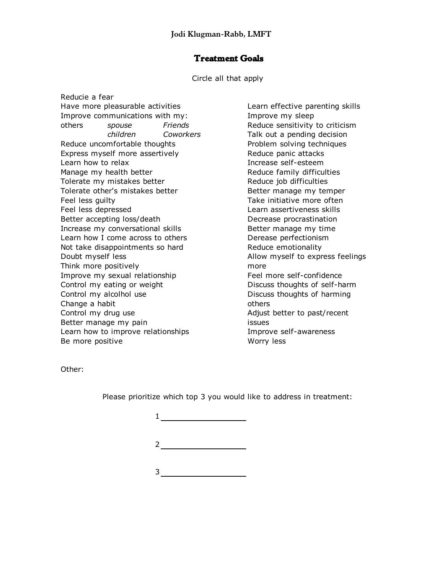### *Treatment Goals*

Circle all that apply

Reducie a fear Have more pleasurable activities **Learn effective parenting skills** Improve communications with my: Improve my sleep others *spouse Friends* Reduce sensitivity to criticism Reduce uncomfortable thoughts **Problem solving techniques** Express myself more assertively express myself more assertively Learn how to relax and a self-esteem increase self-esteem Manage my health better **Example 20** Reduce family difficulties Tolerate my mistakes better and the Reduce job difficulties Tolerate other's mistakes better **Better** Better manage my temper Feel less guilty Take initiative more often Feel less depressed Learn assertiveness skills Better accepting loss/death Decrease procrastination Increase my conversational skills **Better manage my time** Learn how I come across to others **Derease perfectionism** Not take disappointments so hard Theorem Reduce emotionality Doubt myself less and a set of the Allow myself to express feelings Think more positively more more Improve my sexual relationship Feel more self-confidence Control my eating or weight **Discuss thoughts of self-harm** Control my alcolhol use Discuss thoughts of harming Change a habit others of the state of the state of the state of the state of the state of the state of the state of the state of the state of the state of the state of the state of the state of the state of the state of th Control my drug use and the Adjust better to past/recent Better manage my pain issues Learn how to improve relationships The Manusove self-awareness Be more positive Worry less

*children Coworkers* Talk out a pending decision

Other:

Please prioritize which top 3 you would like to address in treatment:

| 1           |  |
|-------------|--|
| $2^{\circ}$ |  |
| 3           |  |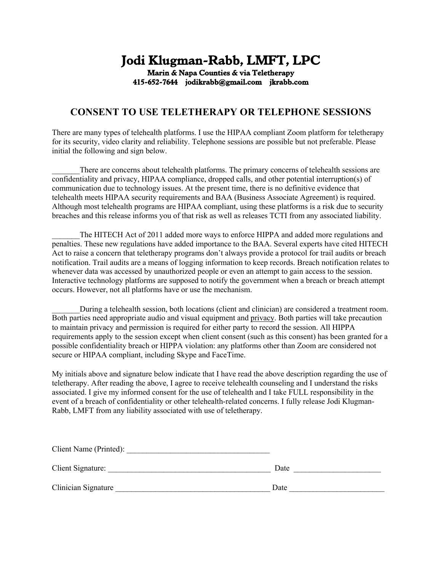# *Jodi Klugman-Rabb, LMFT, LPC Marin & Napa Counties & via Teletherapy 415-652-7644 jodikrabb@gmail.com jkrabb.com*

## **CONSENT TO USE TELETHERAPY OR TELEPHONE SESSIONS**

There are many types of telehealth platforms. I use the HIPAA compliant Zoom platform for teletherapy for its security, video clarity and reliability. Telephone sessions are possible but not preferable. Please initial the following and sign below.

There are concerns about telehealth platforms. The primary concerns of telehealth sessions are confidentiality and privacy, HIPAA compliance, dropped calls, and other potential interruption(s) of communication due to technology issues. At the present time, there is no definitive evidence that telehealth meets HIPAA security requirements and BAA (Business Associate Agreement) is required. Although most telehealth programs are HIPAA compliant, using these platforms is a risk due to security breaches and this release informs you of that risk as well as releases TCTI from any associated liability.

The HITECH Act of 2011 added more ways to enforce HIPPA and added more regulations and penalties. These new regulations have added importance to the BAA. Several experts have cited HITECH Act to raise a concern that teletherapy programs don't always provide a protocol for trail audits or breach notification. Trail audits are a means of logging information to keep records. Breach notification relates to whenever data was accessed by unauthorized people or even an attempt to gain access to the session. Interactive technology platforms are supposed to notify the government when a breach or breach attempt occurs. However, not all platforms have or use the mechanism.

During a telehealth session, both locations (client and clinician) are considered a treatment room. Both parties need appropriate audio and visual equipment and privacy. Both parties will take precaution to maintain privacy and permission is required for either party to record the session. All HIPPA requirements apply to the session except when client consent (such as this consent) has been granted for a possible confidentiality breach or HIPPA violation: any platforms other than Zoom are considered not secure or HIPAA compliant, including Skype and FaceTime.

My initials above and signature below indicate that I have read the above description regarding the use of teletherapy. After reading the above, I agree to receive telehealth counseling and I understand the risks associated. I give my informed consent for the use of telehealth and I take FULL responsibility in the event of a breach of confidentiality or other telehealth-related concerns. I fully release Jodi Klugman-Rabb, LMFT from any liability associated with use of teletherapy.

| Client Name (Printed): |      |
|------------------------|------|
| Client Signature:      | Date |
| Clinician Signature    | Date |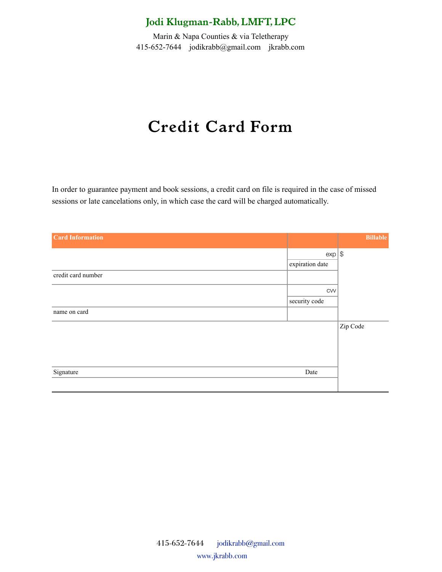Marin & Napa Counties & via Teletherapy 415-652-7644 [jodikrabb@gmail.com](mailto:jodikrabb@gmail.com) jkrabb.com

# *Credit Card Form*

In order to guarantee payment and book sessions, a credit card on file is required in the case of missed sessions or late cancelations only, in which case the card will be charged automatically.

| <b>Card Information</b> |                 | <b>Billable</b> |
|-------------------------|-----------------|-----------------|
|                         | $exp $ \$       |                 |
|                         | expiration date |                 |
| credit card number      |                 |                 |
|                         | CVV             |                 |
|                         | security code   |                 |
| name on card            |                 |                 |
|                         |                 | Zip Code        |
|                         |                 |                 |
|                         |                 |                 |
|                         |                 |                 |
| Signature               | Date            |                 |
|                         |                 |                 |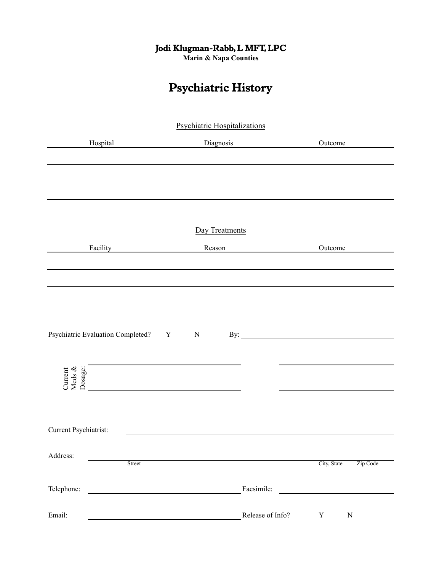**Marin & Napa Counties**

# *Psychiatric History*

|                                       | <b>Psychiatric Hospitalizations</b> |                                                                                                                      |
|---------------------------------------|-------------------------------------|----------------------------------------------------------------------------------------------------------------------|
| Hospital                              | Diagnosis                           | Outcome                                                                                                              |
|                                       |                                     |                                                                                                                      |
|                                       |                                     |                                                                                                                      |
|                                       |                                     |                                                                                                                      |
|                                       |                                     |                                                                                                                      |
|                                       | Day Treatments                      |                                                                                                                      |
|                                       | Reason                              | Outcome                                                                                                              |
|                                       |                                     |                                                                                                                      |
|                                       |                                     |                                                                                                                      |
|                                       |                                     |                                                                                                                      |
|                                       |                                     |                                                                                                                      |
| Psychiatric Evaluation Completed? Y N |                                     |                                                                                                                      |
|                                       |                                     |                                                                                                                      |
| Current<br>Meds &<br>Dosage:          |                                     |                                                                                                                      |
|                                       |                                     |                                                                                                                      |
|                                       |                                     |                                                                                                                      |
| Current Psychiatrist:                 |                                     |                                                                                                                      |
|                                       |                                     |                                                                                                                      |
| Address:<br>Street                    |                                     | City, State<br>Zip Code                                                                                              |
|                                       |                                     |                                                                                                                      |
| Telephone:                            | Facsimile:                          | <u> 1980 - Jan Stein Stein Stein Stein Stein Stein Stein Stein Stein Stein Stein Stein Stein Stein Stein Stein S</u> |
| Email:                                | Release of Info?                    | $\mathbf Y$<br>${\bf N}$                                                                                             |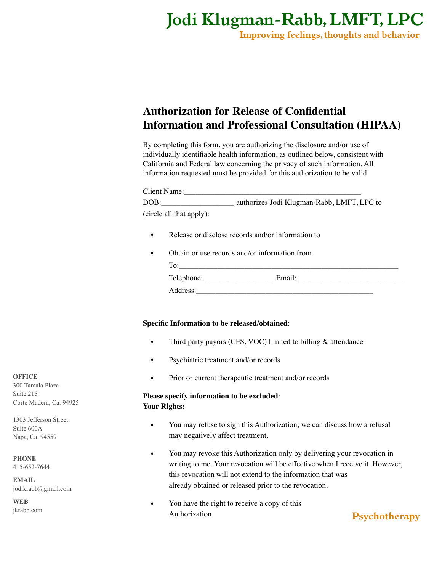*Improving feelings, thoughts and behavior*

## **Authorization for Release of Confidential Information and Professional Consultation (HIPAA)**

By completing this form, you are authorizing the disclosure and/or use of individually identifiable health information, as outlined below, consistent with California and Federal law concerning the privacy of such information. All information requested must be provided for this authorization to be valid.

| Client Name:             |                                            |
|--------------------------|--------------------------------------------|
| DOB:                     | authorizes Jodi Klugman-Rabb, LMFT, LPC to |
| (circle all that apply): |                                            |

- Release or disclose records and/or information to
- Obtain or use records and/or information from

| Telephone: | Email |
|------------|-------|
| Address:   |       |

### **Specific Information to be released/obtained**:

- Third party payors (CFS, VOC) limited to billing & attendance
- Psychiatric treatment and/or records
- Prior or current therapeutic treatment and/or records

### **Please specify information to be excluded**: **Your Rights:**

- You may refuse to sign this Authorization; we can discuss how a refusal may negatively affect treatment.
- You may revoke this Authorization only by delivering your revocation in writing to me. Your revocation will be effective when I receive it. However, this revocation will not extend to the information that was already obtained or released prior to the revocation.
- You have the right to receive a copy of this Authorization.

*Psychotherapy*

**OFFICE** 300 Tamala Plaza Suite 215 Corte Madera, Ca. 94925

1303 Jefferson Street Suite 600A Napa, Ca. 94559

**PHONE** 415-652-7644

**EMAIL** jodikrabb@gmail.com

**WEB** [jkrabb.com](http://jkrabb.com)